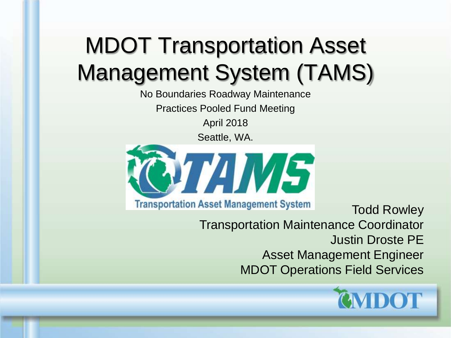## MDOT Transportation Asset Management System (TAMS)

No Boundaries Roadway Maintenance Practices Pooled Fund Meeting

April 2018

Seattle, WA.



**Transportation Asset Management System** Todd Rowley Transportation Maintenance Coordinator Justin Droste PE Asset Management Engineer MDOT Operations Field Services

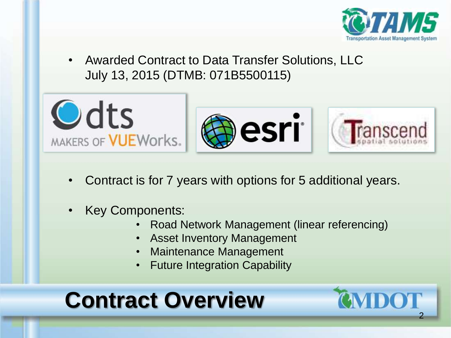

• Awarded Contract to Data Transfer Solutions, LLC July 13, 2015 (DTMB: 071B5500115)



- Contract is for 7 years with options for 5 additional years.
- Key Components:
	- Road Network Management (linear referencing)
	- Asset Inventory Management
	- Maintenance Management
	- **Future Integration Capability**

## **Contract Overview**

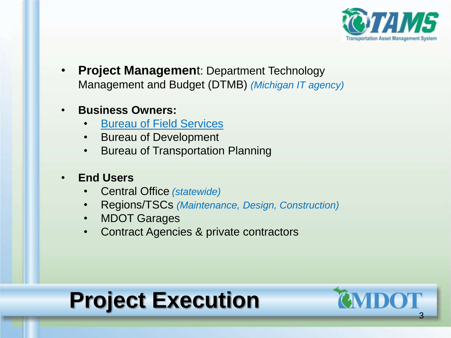

• **Project Managemen**t: Department Technology Management and Budget (DTMB) *(Michigan IT agency)*

#### • **Business Owners:**

- Bureau of Field Services
- Bureau of Development
- **Bureau of Transportation Planning**

#### • **End Users**

- Central Office *(statewide)*
- Regions/TSCs *(Maintenance, Design, Construction)*
- **MDOT Garages**
- Contract Agencies & private contractors

## **Project Execution**

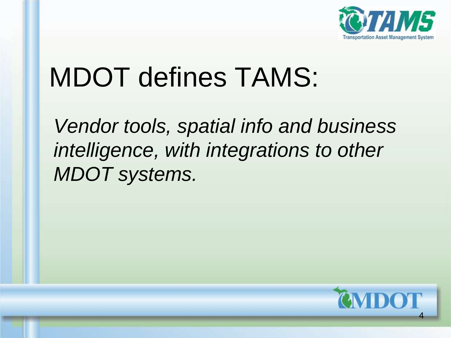

# MDOT defines TAMS:

*Vendor tools, spatial info and business intelligence, with integrations to other MDOT systems.*

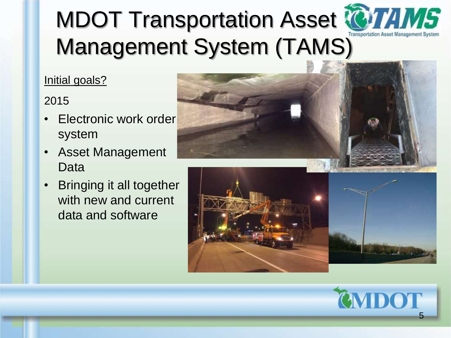# MDOT Transportation Asset TOTAMS Management System (TAMS)

#### Initial goals?

#### 2015

- Electronic work order system
- Asset Management Data
- Bringing it all together with new and current data and software



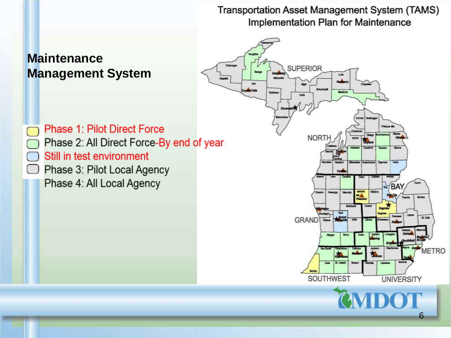**Transportation Asset Management System (TAMS)** Implementation Plan for Maintenance **SUPERIOR Management System**

**Phase 1: Pilot Direct Force** Phase 2: All Direct Force-By end of year Still in test environment Phase 3: Pilot Local Agency  $\left[ \begin{array}{c} \end{array} \right]$ Phase 4: All Local Agency

**Maintenance** 



6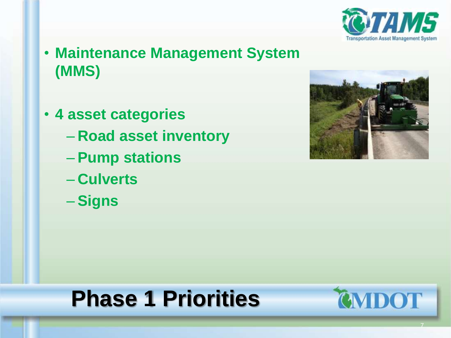

- **Maintenance Management System (MMS)**
- **4 asset categories**
	- **Road asset inventory**
	- **Pump stations**
	- **Culverts**
	- **Signs**



## **Phase 1 Priorities**



7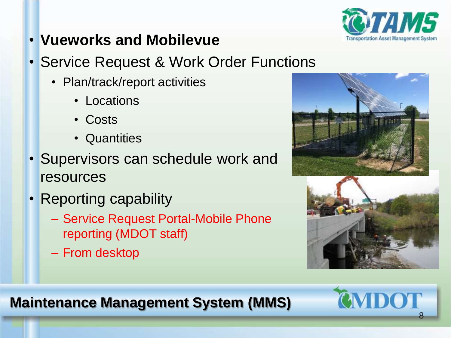

- **Vueworks and Mobilevue**
- Service Request & Work Order Functions
	- Plan/track/report activities
		- Locations
		- Costs
		- Quantities
- Supervisors can schedule work and resources
- Reporting capability
	- Service Request Portal-Mobile Phone reporting (MDOT staff)
	- From desktop



### **Maintenance Management System (MMS)**

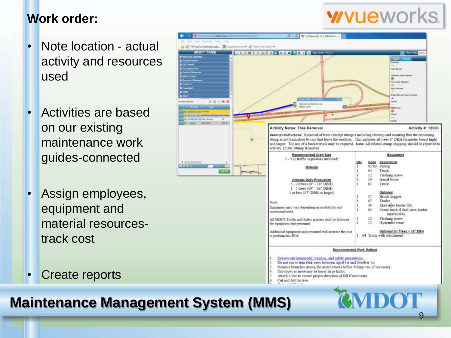#### **Work order:**

- Note location actual activity and resources used
- Activities are based on our existing maintenance work guides-connected
- Assign employees, equipment and material resourcestrack cost
- **Create reports**



9

#### **Maintenance Management System (MMS)**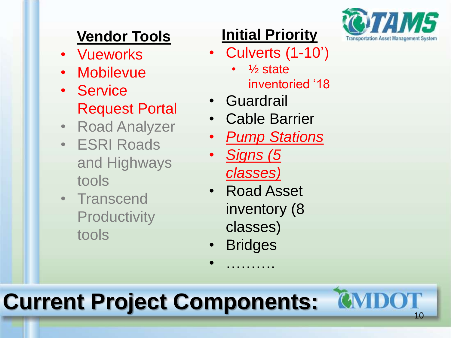

### **Vendor Tools**

- Vueworks
- Mobilevue
- Service Request Portal
- Road Analyzer
- ESRI Roads and Highways tools
- Transcend **Productivity** tools

### **Initial Priority**

- Culverts (1 -10')
	- $\frac{1}{2}$  state inventoried '18
- Guardrail
- Cable Barrier
- *Pump Stations*
- *Signs (5 classes)*
- Road Asset inventory (8 classes)
- Bridges

• ……….

## **Current Project Components:**

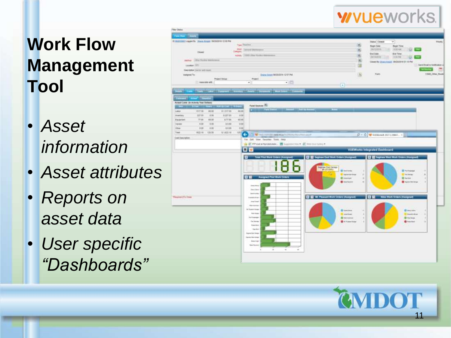### **wvue**works.

### **Work Flow Management Tool**

- *Asset information*
- *Asset attributes*
- *Reports on asset data*
- *User specific "Dashboards"*



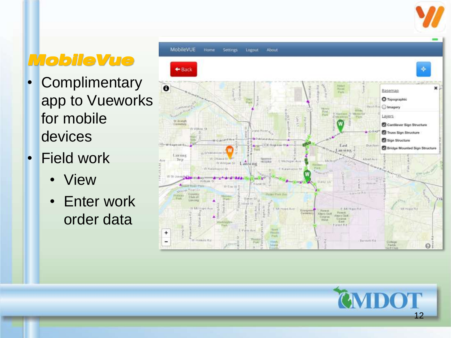### *MobileVue*

- Complimentary app to Vueworks for mobile devices
- Field work
	-
	- View<br>• Enter work order data



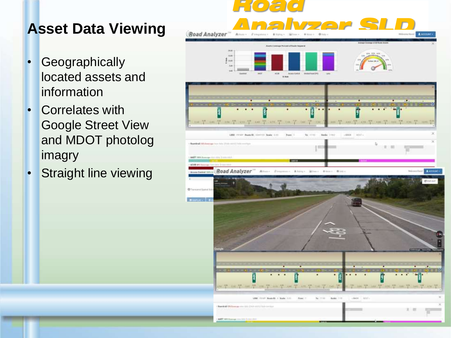### **Asset Data Viewing**

- Geographically located assets and information
- Correlates with Google Street View and MDOT photolog imagry
- Straight line viewing

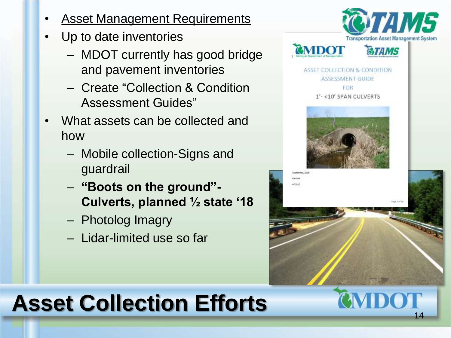- **Asset Management Requirements**
- Up to date inventories
	- MDOT currently has good bridge and pavement inventories
	- Create "Collection & Condition Assessment Guides"
- What assets can be collected and how
	- Mobile collection-Signs and guardrail
	- **"Boots on the ground"- Culverts, planned ½ state '18**
	- Photolog Imagry
	- Lidar-limited use so far



14

## **Asset Collection Efforts**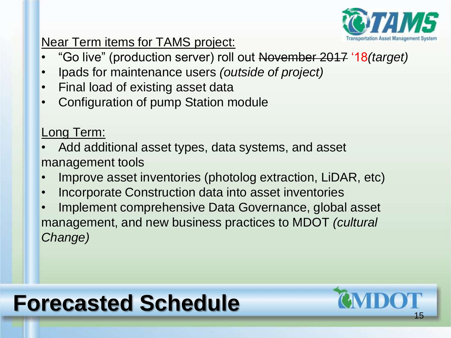

#### Near Term items for TAMS project:

- "Go live" (production server) roll out November 2017 '18*(target)*
- Ipads for maintenance users *(outside of project)*
- Final load of existing asset data
- Configuration of pump Station module

Long Term:

- Add additional asset types, data systems, and asset management tools
- Improve asset inventories (photolog extraction, LiDAR, etc)
- Incorporate Construction data into asset inventories
- Implement comprehensive Data Governance, global asset management, and new business practices to MDOT *(cultural Change)*

## **Forecasted Schedule**

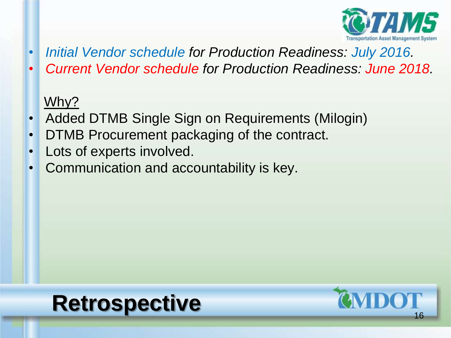

- *Initial Vendor schedule for Production Readiness: July 2016.*
- *Current Vendor schedule for Production Readiness: June 2018.*

### Why?

- Added DTMB Single Sign on Requirements (Milogin)
- DTMB Procurement packaging of the contract.
- Lots of experts involved.
- Communication and accountability is key.

### **Retrospective**

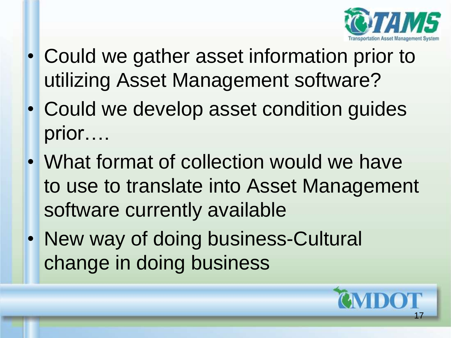

- Could we gather asset information prior to utilizing Asset Management software?
- Could we develop asset condition guides prior….
- What format of collection would we have to use to translate into Asset Management software currently available
- New way of doing business-Cultural change in doing business